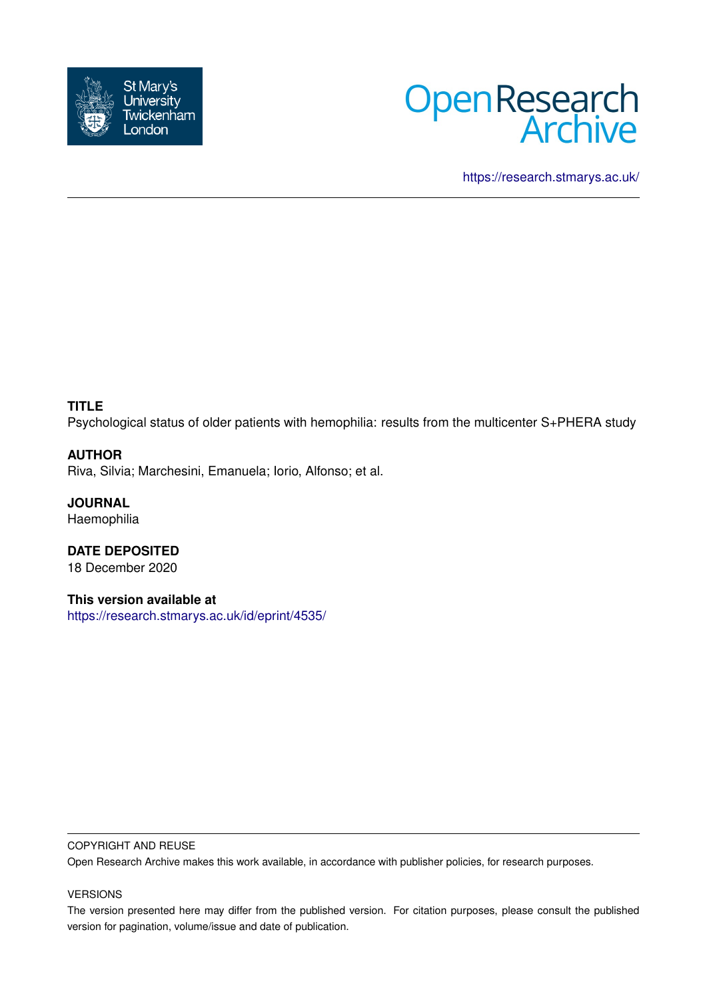



<https://research.stmarys.ac.uk/>

# **TITLE**

Psychological status of older patients with hemophilia: results from the multicenter S+PHERA study

## **AUTHOR**

Riva, Silvia; Marchesini, Emanuela; Iorio, Alfonso; et al.

**JOURNAL** Haemophilia

**DATE DEPOSITED** 18 December 2020

**This version available at** <https://research.stmarys.ac.uk/id/eprint/4535/>

#### COPYRIGHT AND REUSE

Open Research Archive makes this work available, in accordance with publisher policies, for research purposes.

#### VERSIONS

The version presented here may differ from the published version. For citation purposes, please consult the published version for pagination, volume/issue and date of publication.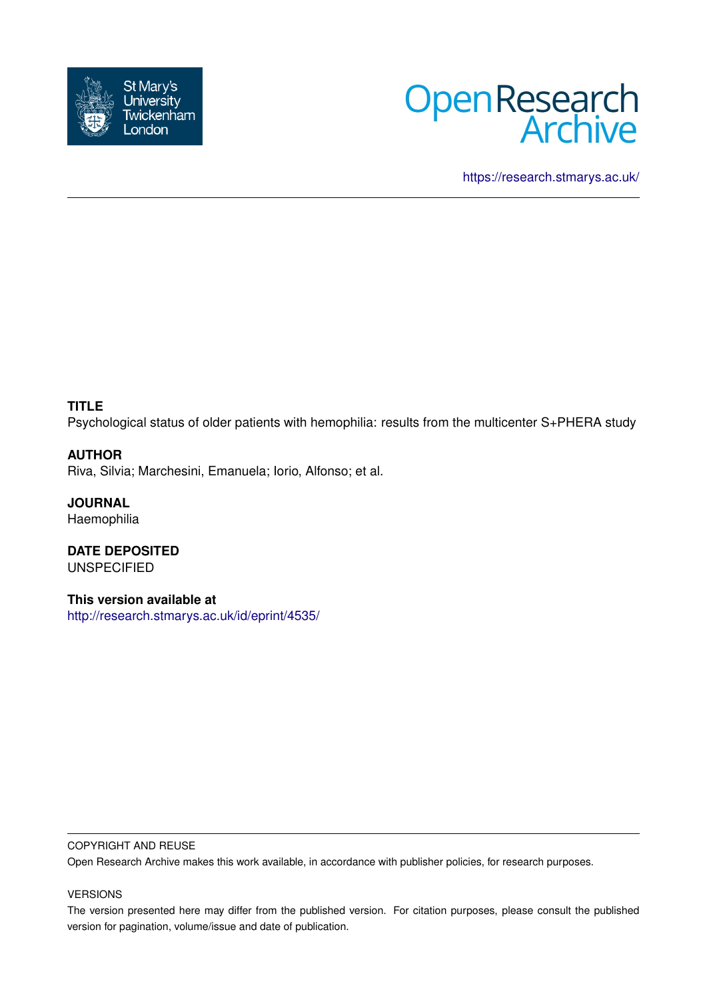



<https://research.stmarys.ac.uk/>

# **TITLE**

Psychological status of older patients with hemophilia: results from the multicenter S+PHERA study

## **AUTHOR**

Riva, Silvia; Marchesini, Emanuela; Iorio, Alfonso; et al.

**JOURNAL Haemophilia** 

**DATE DEPOSITED** UNSPECIFIED

**This version available at** <http://research.stmarys.ac.uk/id/eprint/4535/>

#### COPYRIGHT AND REUSE

Open Research Archive makes this work available, in accordance with publisher policies, for research purposes.

### VERSIONS

The version presented here may differ from the published version. For citation purposes, please consult the published version for pagination, volume/issue and date of publication.